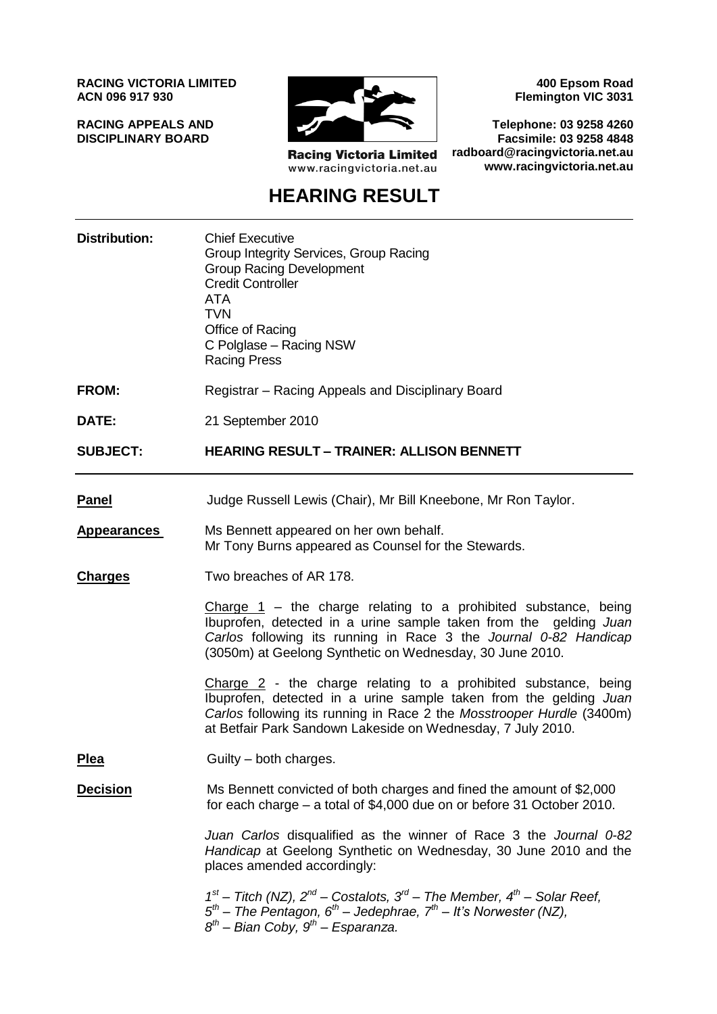**RACING VICTORIA LIMITED ACN 096 917 930**

**RACING APPEALS AND DISCIPLINARY BOARD**



**Racing Victoria Limited** www.racingvictoria.net.au

**400 Epsom Road Flemington VIC 3031**

**Telephone: 03 9258 4260 Facsimile: 03 9258 4848 radboard@racingvictoria.net.au www.racingvictoria.net.au**

# **HEARING RESULT**

| <b>Distribution:</b> | <b>Chief Executive</b><br>Group Integrity Services, Group Racing<br><b>Group Racing Development</b><br><b>Credit Controller</b><br><b>ATA</b><br><b>TVN</b><br>Office of Racing<br>C Polglase - Racing NSW<br><b>Racing Press</b>                                              |
|----------------------|--------------------------------------------------------------------------------------------------------------------------------------------------------------------------------------------------------------------------------------------------------------------------------|
| <b>FROM:</b>         | Registrar – Racing Appeals and Disciplinary Board                                                                                                                                                                                                                              |
| DATE:                | 21 September 2010                                                                                                                                                                                                                                                              |
| <b>SUBJECT:</b>      | <b>HEARING RESULT - TRAINER: ALLISON BENNETT</b>                                                                                                                                                                                                                               |
| <b>Panel</b>         | Judge Russell Lewis (Chair), Mr Bill Kneebone, Mr Ron Taylor.                                                                                                                                                                                                                  |
| <b>Appearances</b>   | Ms Bennett appeared on her own behalf.<br>Mr Tony Burns appeared as Counsel for the Stewards.                                                                                                                                                                                  |
| <b>Charges</b>       | Two breaches of AR 178.                                                                                                                                                                                                                                                        |
|                      | Charge $1$ – the charge relating to a prohibited substance, being<br>Ibuprofen, detected in a urine sample taken from the gelding Juan<br>Carlos following its running in Race 3 the Journal 0-82 Handicap<br>(3050m) at Geelong Synthetic on Wednesday, 30 June 2010.         |
|                      | Charge $2$ - the charge relating to a prohibited substance, being<br>Ibuprofen, detected in a urine sample taken from the gelding Juan<br>Carlos following its running in Race 2 the Mosstrooper Hurdle (3400m)<br>at Betfair Park Sandown Lakeside on Wednesday, 7 July 2010. |
| <b>Plea</b>          | Guilty – both charges.                                                                                                                                                                                                                                                         |
| <b>Decision</b>      | Ms Bennett convicted of both charges and fined the amount of \$2,000<br>for each charge – a total of \$4,000 due on or before 31 October 2010.                                                                                                                                 |
|                      | Juan Carlos disqualified as the winner of Race 3 the Journal 0-82<br>Handicap at Geelong Synthetic on Wednesday, 30 June 2010 and the<br>places amended accordingly:                                                                                                           |
|                      | $1st$ – Titch (NZ), $2nd$ – Costalots, $3rd$ – The Member, $4th$ – Solar Reef,<br>$5th$ – The Pentagon, 6 <sup>th</sup> – Jedephrae, 7 <sup>th</sup> – It's Norwester (NZ),<br>$8^{th}$ – Bian Coby, $9^{th}$ – Esparanza.                                                     |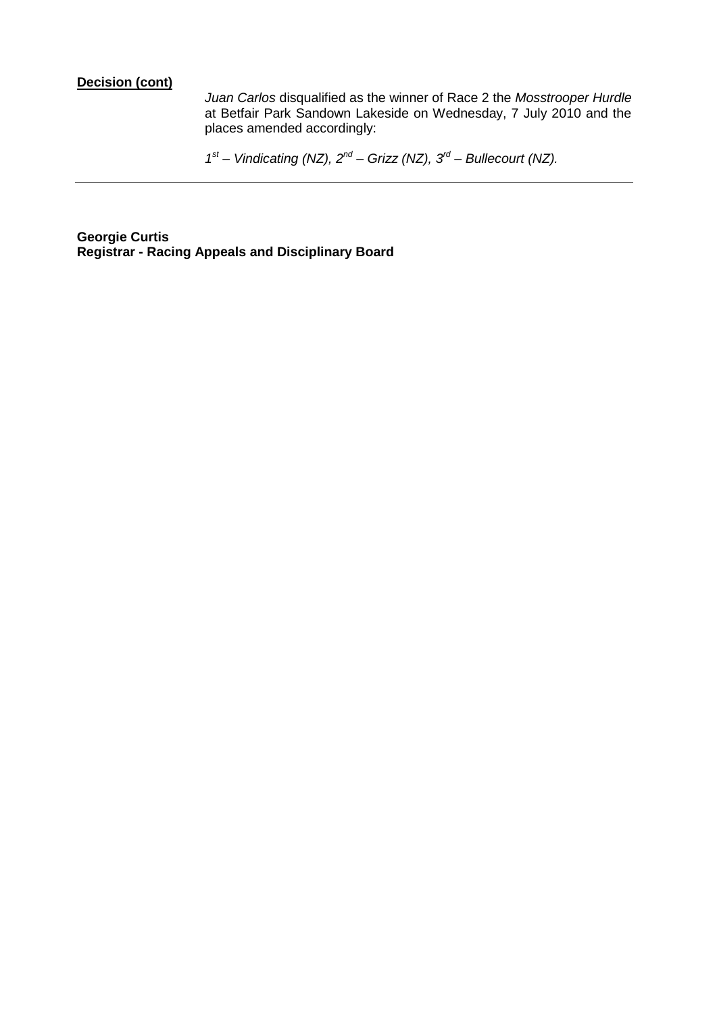#### **Decision (cont)**

*Juan Carlos* disqualified as the winner of Race 2 the *Mosstrooper Hurdle*  at Betfair Park Sandown Lakeside on Wednesday, 7 July 2010 and the places amended accordingly:

*1 st – Vindicating (NZ), 2nd – Grizz (NZ), 3rd – Bullecourt (NZ).*

**Georgie Curtis Registrar - Racing Appeals and Disciplinary Board**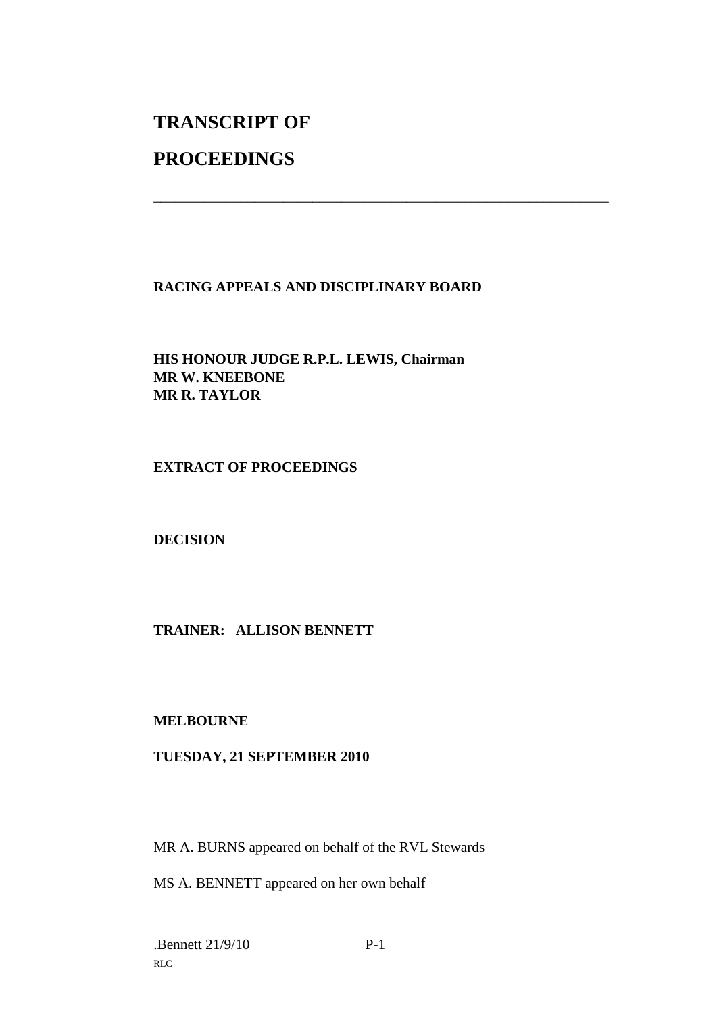# **TRANSCRIPT OF**

## **PROCEEDINGS**

### **RACING APPEALS AND DISCIPLINARY BOARD**

\_\_\_\_\_\_\_\_\_\_\_\_\_\_\_\_\_\_\_\_\_\_\_\_\_\_\_\_\_\_\_\_\_\_\_\_\_\_\_\_\_\_\_\_\_\_\_\_\_\_\_\_\_\_\_\_\_\_\_\_\_\_\_

**HIS HONOUR JUDGE R.P.L. LEWIS, Chairman MR W. KNEEBONE MR R. TAYLOR**

#### **EXTRACT OF PROCEEDINGS**

**DECISION**

## **TRAINER: ALLISON BENNETT**

#### **MELBOURNE**

### **TUESDAY, 21 SEPTEMBER 2010**

MR A. BURNS appeared on behalf of the RVL Stewards

MS A. BENNETT appeared on her own behalf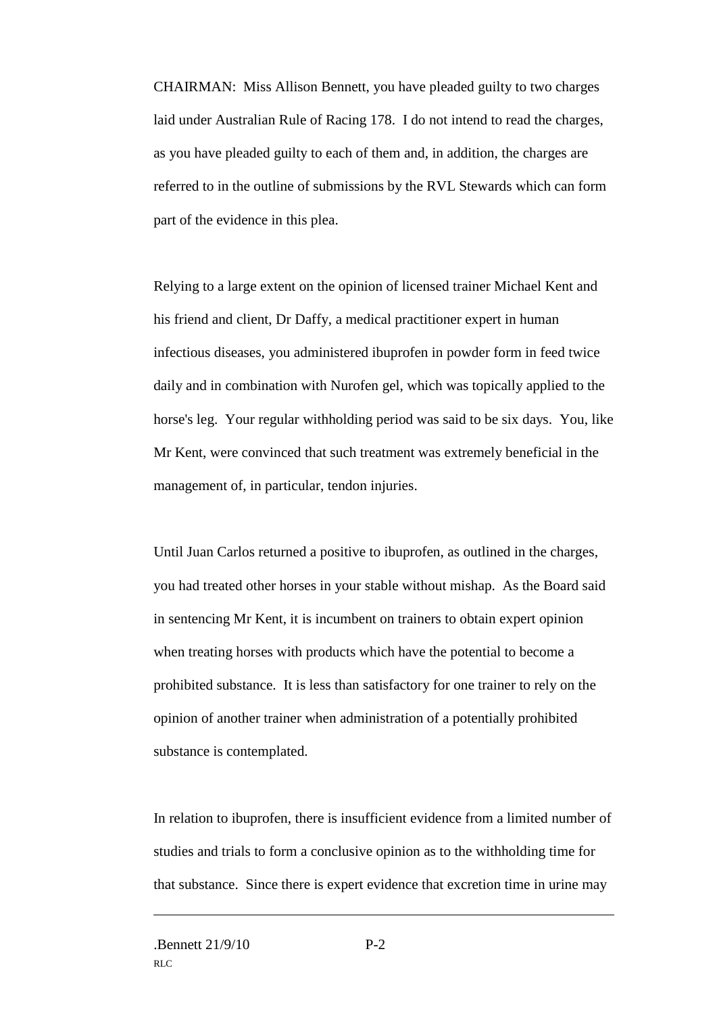CHAIRMAN: Miss Allison Bennett, you have pleaded guilty to two charges laid under Australian Rule of Racing 178. I do not intend to read the charges, as you have pleaded guilty to each of them and, in addition, the charges are referred to in the outline of submissions by the RVL Stewards which can form part of the evidence in this plea.

Relying to a large extent on the opinion of licensed trainer Michael Kent and his friend and client, Dr Daffy, a medical practitioner expert in human infectious diseases, you administered ibuprofen in powder form in feed twice daily and in combination with Nurofen gel, which was topically applied to the horse's leg. Your regular withholding period was said to be six days. You, like Mr Kent, were convinced that such treatment was extremely beneficial in the management of, in particular, tendon injuries.

Until Juan Carlos returned a positive to ibuprofen, as outlined in the charges, you had treated other horses in your stable without mishap. As the Board said in sentencing Mr Kent, it is incumbent on trainers to obtain expert opinion when treating horses with products which have the potential to become a prohibited substance. It is less than satisfactory for one trainer to rely on the opinion of another trainer when administration of a potentially prohibited substance is contemplated.

In relation to ibuprofen, there is insufficient evidence from a limited number of studies and trials to form a conclusive opinion as to the withholding time for that substance. Since there is expert evidence that excretion time in urine may